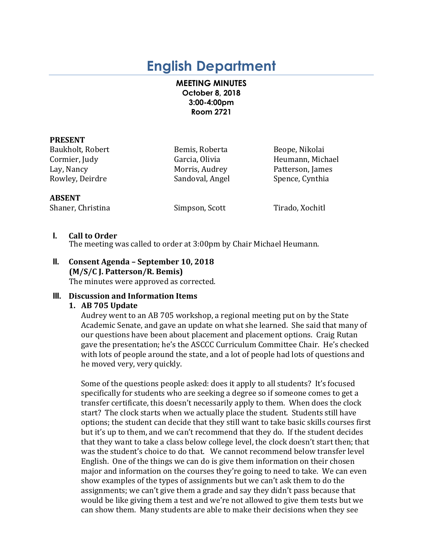# **English Department**

## **MEETING MINUTES October 8, 2018 3:00-4:00pm Room 2721**

#### **PRESENT**

Baukholt, Robert **Bemis, Roberta** Beope, Nikolai Lay, Nancy **Morris, Audrey** Patterson, James Rowley, Deirdre Sandoval, Angel Spence, Cynthia

Cormier, Judy Garcia, Olivia Heumann, Michael

#### **ABSENT**

Shaner, Christina Simpson, Scott Tirado, Xochitl

## **I. Call to Order**

The meeting was called to order at 3:00pm by Chair Michael Heumann.

## **II. Consent Agenda – September 10, 2018 (M/S/C J. Patterson/R. Bemis)** The minutes were approved as corrected.

## **III.** Discussion and Information Items

## **1. AB 705 Update**

Audrey went to an AB 705 workshop, a regional meeting put on by the State Academic Senate, and gave an update on what she learned. She said that many of our questions have been about placement and placement options. Craig Rutan gave the presentation; he's the ASCCC Curriculum Committee Chair. He's checked with lots of people around the state, and a lot of people had lots of questions and he moved very, very quickly.

Some of the questions people asked: does it apply to all students? It's focused specifically for students who are seeking a degree so if someone comes to get a transfer certificate, this doesn't necessarily apply to them. When does the clock start? The clock starts when we actually place the student. Students still have options; the student can decide that they still want to take basic skills courses first but it's up to them, and we can't recommend that they do. If the student decides that they want to take a class below college level, the clock doesn't start then; that was the student's choice to do that. We cannot recommend below transfer level English. One of the things we can do is give them information on their chosen major and information on the courses they're going to need to take. We can even show examples of the types of assignments but we can't ask them to do the assignments; we can't give them a grade and say they didn't pass because that would be like giving them a test and we're not allowed to give them tests but we can show them. Many students are able to make their decisions when they see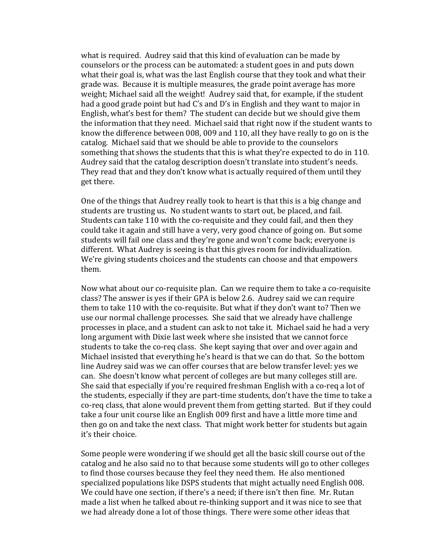what is required. Audrey said that this kind of evaluation can be made by counselors or the process can be automated: a student goes in and puts down what their goal is, what was the last English course that they took and what their grade was. Because it is multiple measures, the grade point average has more weight; Michael said all the weight! Audrey said that, for example, if the student had a good grade point but had C's and D's in English and they want to major in English, what's best for them? The student can decide but we should give them the information that they need. Michael said that right now if the student wants to know the difference between 008, 009 and 110, all they have really to go on is the catalog. Michael said that we should be able to provide to the counselors something that shows the students that this is what they're expected to do in 110. Audrey said that the catalog description doesn't translate into student's needs. They read that and they don't know what is actually required of them until they get there.

One of the things that Audrey really took to heart is that this is a big change and students are trusting us. No student wants to start out, be placed, and fail. Students can take 110 with the co-requisite and they could fail, and then they could take it again and still have a very, very good chance of going on. But some students will fail one class and they're gone and won't come back; everyone is different. What Audrey is seeing is that this gives room for individualization. We're giving students choices and the students can choose and that empowers them. 

Now what about our co-requisite plan. Can we require them to take a co-requisite class? The answer is yes if their GPA is below 2.6. Audrey said we can require them to take 110 with the co-requisite. But what if they don't want to? Then we use our normal challenge processes. She said that we already have challenge processes in place, and a student can ask to not take it. Michael said he had a very long argument with Dixie last week where she insisted that we cannot force students to take the co-req class. She kept saying that over and over again and Michael insisted that everything he's heard is that we can do that. So the bottom line Audrey said was we can offer courses that are below transfer level: yes we can. She doesn't know what percent of colleges are but many colleges still are. She said that especially if you're required freshman English with a co-req a lot of the students, especially if they are part-time students, don't have the time to take a co-req class, that alone would prevent them from getting started. But if they could take a four unit course like an English 009 first and have a little more time and then go on and take the next class. That might work better for students but again it's their choice.

Some people were wondering if we should get all the basic skill course out of the catalog and he also said no to that because some students will go to other colleges to find those courses because they feel they need them. He also mentioned specialized populations like DSPS students that might actually need English 008. We could have one section, if there's a need; if there isn't then fine. Mr. Rutan made a list when he talked about re-thinking support and it was nice to see that we had already done a lot of those things. There were some other ideas that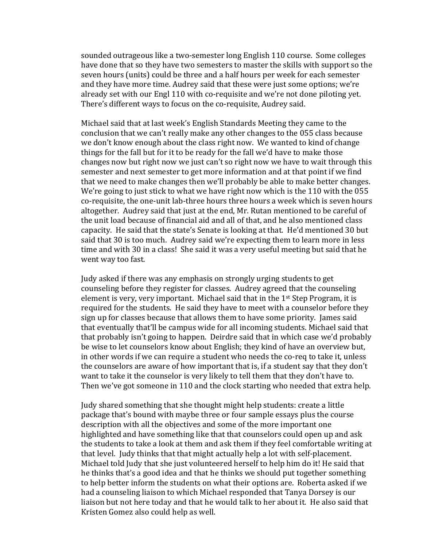sounded outrageous like a two-semester long English 110 course. Some colleges have done that so they have two semesters to master the skills with support so the seven hours (units) could be three and a half hours per week for each semester and they have more time. Audrey said that these were just some options; we're already set with our Engl 110 with co-requisite and we're not done piloting yet. There's different ways to focus on the co-requisite, Audrey said.

Michael said that at last week's English Standards Meeting they came to the conclusion that we can't really make any other changes to the 055 class because we don't know enough about the class right now. We wanted to kind of change things for the fall but for it to be ready for the fall we'd have to make those changes now but right now we just can't so right now we have to wait through this semester and next semester to get more information and at that point if we find that we need to make changes then we'll probably be able to make better changes. We're going to just stick to what we have right now which is the 110 with the  $055$ co-requisite, the one-unit lab-three hours three hours a week which is seven hours altogether. Audrey said that just at the end, Mr. Rutan mentioned to be careful of the unit load because of financial aid and all of that, and he also mentioned class capacity. He said that the state's Senate is looking at that. He'd mentioned 30 but said that 30 is too much. Audrey said we're expecting them to learn more in less time and with 30 in a class! She said it was a very useful meeting but said that he went way too fast.

Judy asked if there was any emphasis on strongly urging students to get counseling before they register for classes. Audrey agreed that the counseling element is very, very important. Michael said that in the  $1<sup>st</sup>$  Step Program, it is required for the students. He said they have to meet with a counselor before they sign up for classes because that allows them to have some priority. James said that eventually that'll be campus wide for all incoming students. Michael said that that probably isn't going to happen. Deirdre said that in which case we'd probably be wise to let counselors know about English; they kind of have an overview but, in other words if we can require a student who needs the co-req to take it, unless the counselors are aware of how important that is, if a student say that they don't want to take it the counselor is very likely to tell them that they don't have to. Then we've got someone in 110 and the clock starting who needed that extra help.

Judy shared something that she thought might help students: create a little package that's bound with maybe three or four sample essays plus the course description with all the objectives and some of the more important one highlighted and have something like that that counselors could open up and ask the students to take a look at them and ask them if they feel comfortable writing at that level. Judy thinks that that might actually help a lot with self-placement. Michael told Judy that she just volunteered herself to help him do it! He said that he thinks that's a good idea and that he thinks we should put together something to help better inform the students on what their options are. Roberta asked if we had a counseling liaison to which Michael responded that Tanya Dorsey is our liaison but not here today and that he would talk to her about it. He also said that Kristen Gomez also could help as well.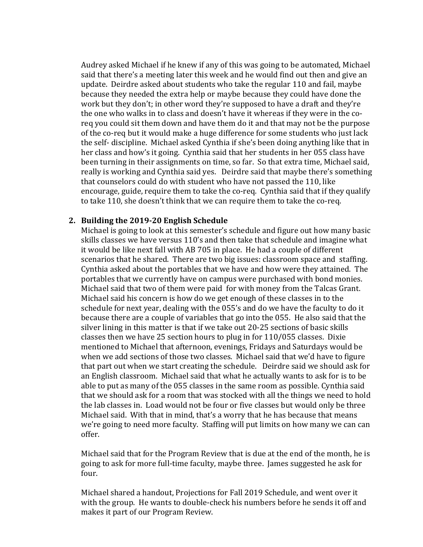Audrey asked Michael if he knew if any of this was going to be automated, Michael said that there's a meeting later this week and he would find out then and give an update. Deirdre asked about students who take the regular 110 and fail, maybe because they needed the extra help or maybe because they could have done the work but they don't; in other word they're supposed to have a draft and they're the one who walks in to class and doesn't have it whereas if they were in the coreq you could sit them down and have them do it and that may not be the purpose of the co-req but it would make a huge difference for some students who just lack the self- discipline. Michael asked Cynthia if she's been doing anything like that in her class and how's it going. Cynthia said that her students in her 055 class have been turning in their assignments on time, so far. So that extra time, Michael said, really is working and Cynthia said yes. Deirdre said that maybe there's something that counselors could do with student who have not passed the 110, like encourage, guide, require them to take the co-req. Cynthia said that if they qualify to take 110, she doesn't think that we can require them to take the co-req.

## 2. Building the 2019-20 English Schedule

Michael is going to look at this semester's schedule and figure out how many basic skills classes we have versus 110's and then take that schedule and imagine what it would be like next fall with AB 705 in place. He had a couple of different scenarios that he shared. There are two big issues: classroom space and staffing. Cynthia asked about the portables that we have and how were they attained. The portables that we currently have on campus were purchased with bond monies. Michael said that two of them were paid for with money from the Talcas Grant. Michael said his concern is how do we get enough of these classes in to the schedule for next year, dealing with the 055's and do we have the faculty to do it because there are a couple of variables that go into the 055. He also said that the silver lining in this matter is that if we take out 20-25 sections of basic skills classes then we have 25 section hours to plug in for 110/055 classes. Dixie mentioned to Michael that afternoon, evenings, Fridays and Saturdays would be when we add sections of those two classes. Michael said that we'd have to figure that part out when we start creating the schedule. Deirdre said we should ask for an English classroom. Michael said that what he actually wants to ask for is to be able to put as many of the 055 classes in the same room as possible. Cynthia said that we should ask for a room that was stocked with all the things we need to hold the lab classes in. Load would not be four or five classes but would only be three Michael said. With that in mind, that's a worry that he has because that means we're going to need more faculty. Staffing will put limits on how many we can can offer. 

Michael said that for the Program Review that is due at the end of the month, he is going to ask for more full-time faculty, maybe three. James suggested he ask for four. 

Michael shared a handout, Projections for Fall 2019 Schedule, and went over it with the group. He wants to double-check his numbers before he sends it off and makes it part of our Program Review.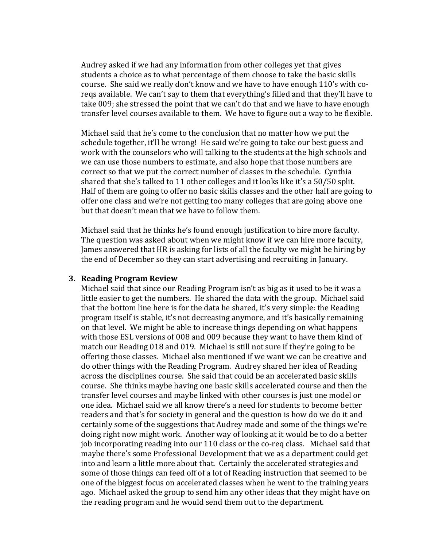Audrey asked if we had any information from other colleges yet that gives students a choice as to what percentage of them choose to take the basic skills course. She said we really don't know and we have to have enough 110's with coreqs available. We can't say to them that everything's filled and that they'll have to take 009; she stressed the point that we can't do that and we have to have enough transfer level courses available to them. We have to figure out a way to be flexible.

Michael said that he's come to the conclusion that no matter how we put the schedule together, it'll be wrong! He said we're going to take our best guess and work with the counselors who will talking to the students at the high schools and we can use those numbers to estimate, and also hope that those numbers are correct so that we put the correct number of classes in the schedule. Cynthia shared that she's talked to 11 other colleges and it looks like it's a  $50/50$  split. Half of them are going to offer no basic skills classes and the other half are going to offer one class and we're not getting too many colleges that are going above one but that doesn't mean that we have to follow them.

Michael said that he thinks he's found enough justification to hire more faculty. The question was asked about when we might know if we can hire more faculty, James answered that HR is asking for lists of all the faculty we might be hiring by the end of December so they can start advertising and recruiting in January.

#### **3. Reading Program Review**

Michael said that since our Reading Program isn't as big as it used to be it was a little easier to get the numbers. He shared the data with the group. Michael said that the bottom line here is for the data he shared, it's very simple: the Reading program itself is stable, it's not decreasing anymore, and it's basically remaining on that level. We might be able to increase things depending on what happens with those ESL versions of 008 and 009 because they want to have them kind of match our Reading 018 and 019. Michael is still not sure if they're going to be offering those classes. Michael also mentioned if we want we can be creative and do other things with the Reading Program. Audrey shared her idea of Reading across the disciplines course. She said that could be an accelerated basic skills course. She thinks maybe having one basic skills accelerated course and then the transfer level courses and maybe linked with other courses is just one model or one idea. Michael said we all know there's a need for students to become better readers and that's for society in general and the question is how do we do it and certainly some of the suggestions that Audrey made and some of the things we're doing right now might work. Another way of looking at it would be to do a better job incorporating reading into our 110 class or the co-req class. Michael said that maybe there's some Professional Development that we as a department could get into and learn a little more about that. Certainly the accelerated strategies and some of those things can feed off of a lot of Reading instruction that seemed to be one of the biggest focus on accelerated classes when he went to the training years ago. Michael asked the group to send him any other ideas that they might have on the reading program and he would send them out to the department.